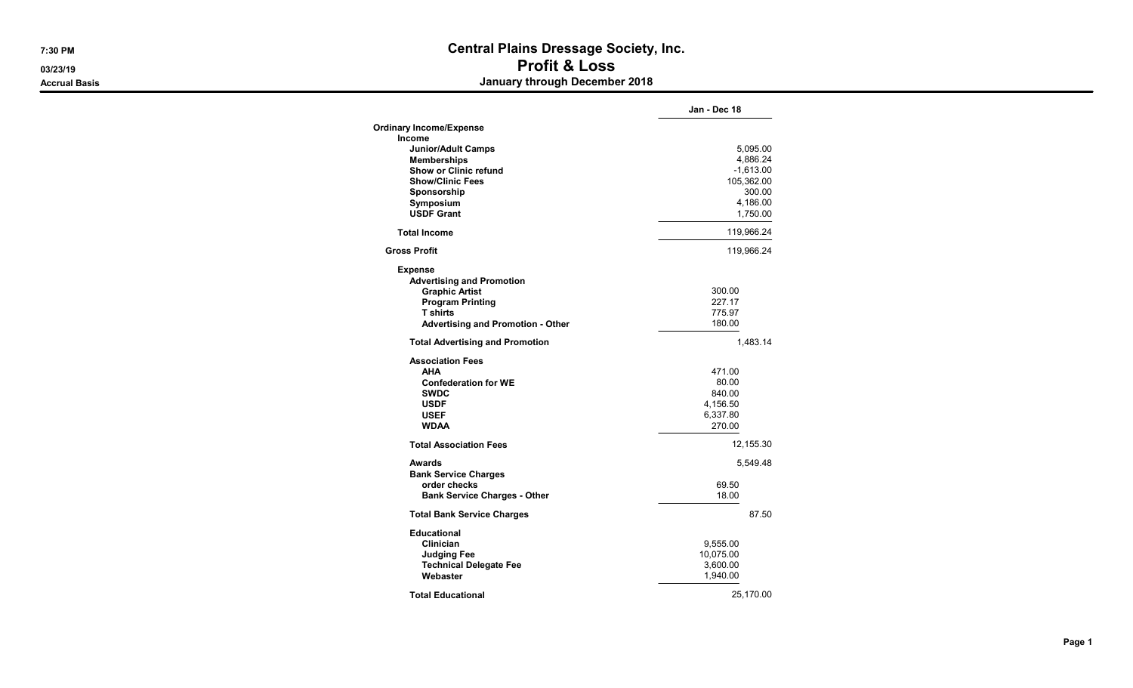## 7:30 PM Central Plains Dressage Society, Inc. 03/23/19 Profit & Loss Accrual Basis **Accrual Basis** Accruates **January through December 2018**

|                                          | Jan - Dec 18 |
|------------------------------------------|--------------|
| <b>Ordinary Income/Expense</b>           |              |
| <b>Income</b>                            |              |
| <b>Junior/Adult Camps</b>                | 5,095.00     |
| <b>Memberships</b>                       | 4,886.24     |
| <b>Show or Clinic refund</b>             | $-1,613.00$  |
| <b>Show/Clinic Fees</b>                  | 105,362.00   |
| Sponsorship                              | 300.00       |
| Symposium                                | 4,186.00     |
| <b>USDF Grant</b>                        | 1,750.00     |
| <b>Total Income</b>                      | 119,966.24   |
| <b>Gross Profit</b>                      | 119,966.24   |
| <b>Expense</b>                           |              |
| <b>Advertising and Promotion</b>         |              |
| <b>Graphic Artist</b>                    | 300.00       |
| <b>Program Printing</b>                  | 227.17       |
| <b>T</b> shirts                          | 775.97       |
| <b>Advertising and Promotion - Other</b> | 180.00       |
| <b>Total Advertising and Promotion</b>   | 1,483.14     |
| <b>Association Fees</b>                  |              |
| AHA                                      | 471.00       |
| <b>Confederation for WE</b>              | 80.00        |
| <b>SWDC</b>                              | 840.00       |
| <b>USDF</b>                              | 4,156.50     |
| <b>USEF</b>                              | 6,337.80     |
| <b>WDAA</b>                              | 270.00       |
| <b>Total Association Fees</b>            | 12,155.30    |
| Awards                                   | 5,549.48     |
| <b>Bank Service Charges</b>              |              |
| order checks                             | 69.50        |
| <b>Bank Service Charges - Other</b>      | 18.00        |
| <b>Total Bank Service Charges</b>        | 87.50        |
| <b>Educational</b>                       |              |
| Clinician                                | 9,555.00     |
| Judging Fee                              | 10,075.00    |
| <b>Technical Delegate Fee</b>            | 3,600.00     |
| Webaster                                 | 1,940.00     |
| <b>Total Educational</b>                 | 25,170.00    |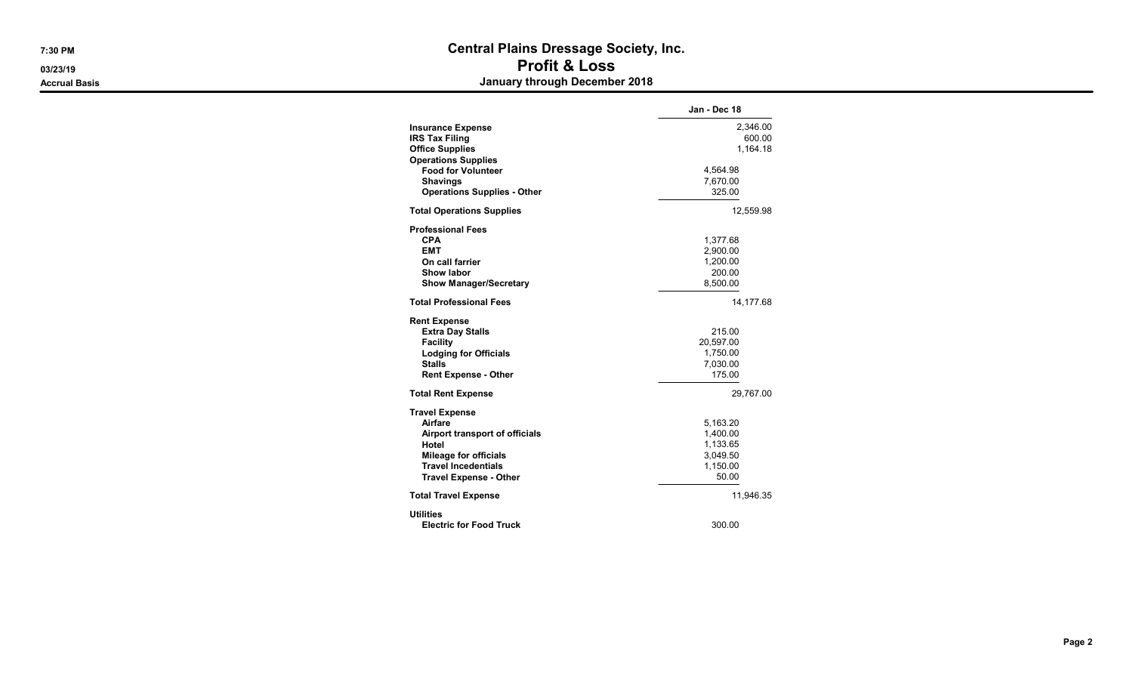## 7:30 PM Central Plains Dressage Society, Inc. 03/23/19 Profit & Loss Accrual Basis **Accrual Basis** Accruates **January through December 2018**

|                                                                                                                                                                            | Jan - Dec 18                                                      |
|----------------------------------------------------------------------------------------------------------------------------------------------------------------------------|-------------------------------------------------------------------|
| <b>Insurance Expense</b><br><b>IRS Tax Filing</b><br><b>Office Supplies</b><br><b>Operations Supplies</b>                                                                  | 2,346.00<br>600.00<br>1.164.18                                    |
| <b>Food for Volunteer</b><br><b>Shavings</b><br><b>Operations Supplies - Other</b>                                                                                         | 4,564.98<br>7,670.00<br>325.00                                    |
| <b>Total Operations Supplies</b>                                                                                                                                           | 12,559.98                                                         |
| <b>Professional Fees</b><br><b>CPA</b><br><b>EMT</b><br>On call farrier<br>Show labor<br><b>Show Manager/Secretary</b>                                                     | 1,377.68<br>2,900.00<br>1,200.00<br>200.00<br>8,500.00            |
| <b>Total Professional Fees</b>                                                                                                                                             | 14,177.68                                                         |
| <b>Rent Expense</b><br><b>Extra Day Stalls</b><br><b>Facility</b><br><b>Lodging for Officials</b><br><b>Stalls</b><br><b>Rent Expense - Other</b>                          | 215.00<br>20,597.00<br>1,750.00<br>7,030.00<br>175.00             |
| <b>Total Rent Expense</b>                                                                                                                                                  | 29,767.00                                                         |
| <b>Travel Expense</b><br>Airfare<br>Airport transport of officials<br>Hotel<br><b>Mileage for officials</b><br><b>Travel Incedentials</b><br><b>Travel Expense - Other</b> | 5,163.20<br>1,400.00<br>1,133.65<br>3,049.50<br>1,150.00<br>50.00 |
| <b>Total Travel Expense</b>                                                                                                                                                | 11,946.35                                                         |
| <b>Utilities</b><br><b>Electric for Food Truck</b>                                                                                                                         | 300.00                                                            |